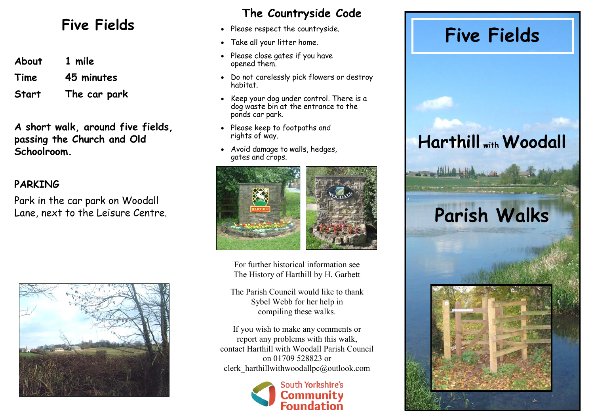**About 1 mile Time 45 minutes**

**Start The car park**

**A short walk, around five fields, passing the Church and Old Schoolroom.**

#### **PARKING**

Park in the car park on Woodall Lane, next to the Leisure Centre.



#### **The Countryside Code**

- Please respect the countryside.
- Take all your litter home.
- Please close gates if you have opened them.
- Do not carelessly pick flowers or destroy habitat.
- Keep your dog under control. There is a dog waste bin at the entrance to the ponds car park.
- Please keep to footpaths and rights of way.
- Avoid damage to walls, hedges, gates and crops.



For further historical information see The History of Harthill by H. Garbett

The Parish Council would like to thank Sybel Webb for her help in compiling these walks.

If you wish to make any comments or report any problems with this walk, contact Harthill with Woodall Parish Council on 01709 528823 or clerk\_harthillwithwoodallpc@outlook.com



# Five Fields . Please respect the countryside.<br>
Five Fields

### **Harthill with Woodall**

## **Parish Walks**